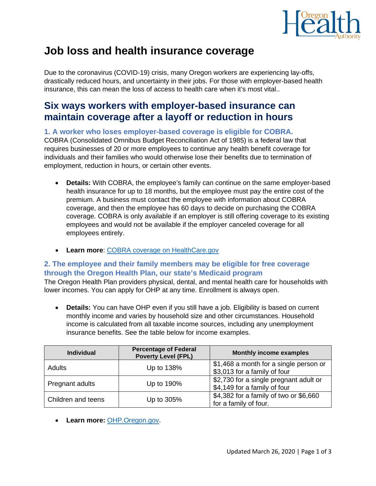

# **Job loss and health insurance coverage**

Due to the coronavirus (COVID-19) crisis, many Oregon workers are experiencing lay-offs, drastically reduced hours, and uncertainty in their jobs. For those with employer-based health insurance, this can mean the loss of access to health care when it's most vital..

## **Six ways workers with employer-based insurance can maintain coverage after a layoff or reduction in hours**

**1. A worker who loses employer-based coverage is eligible for COBRA.** 

COBRA (Consolidated Omnibus Budget Reconciliation Act of 1985) is a federal law that requires businesses of 20 or more employees to continue any health benefit coverage for individuals and their families who would otherwise lose their benefits due to termination of employment, reduction in hours, or certain other events.

- **Details:** With COBRA, the employee's family can continue on the same employer-based health insurance for up to 18 months, but the employee must pay the entire cost of the premium. A business must contact the employee with information about COBRA coverage, and then the employee has 60 days to decide on purchasing the COBRA coverage. COBRA is only available if an employer is still offering coverage to its existing employees and would not be available if the employer canceled coverage for all employees entirely.
- **Learn more**: [COBRA coverage on HealthCare.gov](https://www.healthcare.gov/unemployed/cobra-coverage/)

### **2. The employee and their family members may be eligible for free coverage through the Oregon Health Plan, our state's Medicaid program**

The Oregon Health Plan providers physical, dental, and mental health care for households with lower incomes. You can apply for OHP at any time. Enrollment is always open.

• **Details:** You can have OHP even if you still have a job. Eligibility is based on current monthly income and varies by household size and other circumstances. Household income is calculated from all taxable income sources, including any unemployment insurance benefits. See the table below for income examples.

| <b>Individual</b>  | <b>Percentage of Federal</b><br><b>Poverty Level (FPL)</b> | <b>Monthly income examples</b>                                         |
|--------------------|------------------------------------------------------------|------------------------------------------------------------------------|
| Adults             | Up to 138%                                                 | \$1,468 a month for a single person or<br>\$3,013 for a family of four |
| Pregnant adults    | Up to 190%                                                 | \$2,730 for a single pregnant adult or<br>\$4,149 for a family of four |
| Children and teens | Up to 305%                                                 | \$4,382 for a family of two or \$6,660<br>for a family of four.        |

• **Learn more:** [OHP.Oregon.gov.](http://www.ohp.oregon.gov/)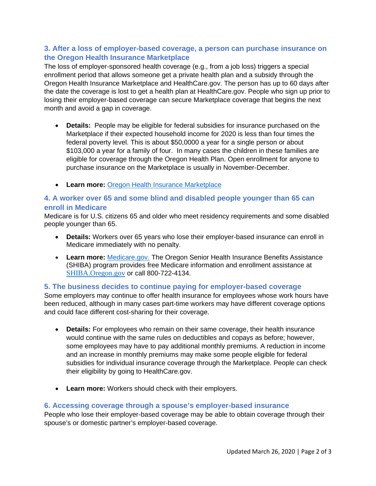### **3. After a loss of employer-based coverage, a person can purchase insurance on the Oregon Health Insurance Marketplace**

The loss of employer-sponsored health coverage (e.g., from a job loss) triggers a special enrollment period that allows someone get a private health plan and a subsidy through the Oregon Health Insurance Marketplace and HealthCare.gov. The person has up to 60 days after the date the coverage is lost to get a health plan at HealthCare.gov. People who sign up prior to losing their employer-based coverage can secure Marketplace coverage that begins the next month and avoid a gap in coverage.

- **Details:** People may be eligible for federal subsidies for insurance purchased on the Marketplace if their expected household income for 2020 is less than four times the federal poverty level. This is about \$50,0000 a year for a single person or about \$103,000 a year for a family of four. In many cases the children in these families are eligible for coverage through the Oregon Health Plan. Open enrollment for anyone to purchase insurance on the Marketplace is usually in November-December.
- **Learn more:** [Oregon Health Insurance Marketplace](https://healthcare.oregon.gov/)

#### **4. A worker over 65 and some blind and disabled people younger than 65 can enroll in Medicare**

Medicare is for U.S. citizens 65 and older who meet residency requirements and some disabled people younger than 65.

- **Details:** Workers over 65 years who lose their employer-based insurance can enroll in Medicare immediately with no penalty.
- **Learn more:** [Medicare.gov.](https://www.medicare.gov/) The Oregon Senior Health Insurance Benefits Assistance (SHIBA) program provides free Medicare information and enrollment assistance at [SHIBA.Oregon.gov](http://www.shiba.oregon.gov/) or call 800-722-4134.

#### **5. The business decides to continue paying for employer-based coverage**

Some employers may continue to offer health insurance for employees whose work hours have been reduced, although in many cases part-time workers may have different coverage options and could face different cost-sharing for their coverage.

- **Details:** For employees who remain on their same coverage, their health insurance would continue with the same rules on deductibles and copays as before; however, some employees may have to pay additional monthly premiums. A reduction in income and an increase in monthly premiums may make some people eligible for federal subsidies for individual insurance coverage through the Marketplace. People can check their eligibility by going to HealthCare.gov.
- **Learn more:** Workers should check with their employers.

#### **6. Accessing coverage through a spouse's employer-based insurance**

People who lose their employer-based coverage may be able to obtain coverage through their spouse's or domestic partner's employer-based coverage.